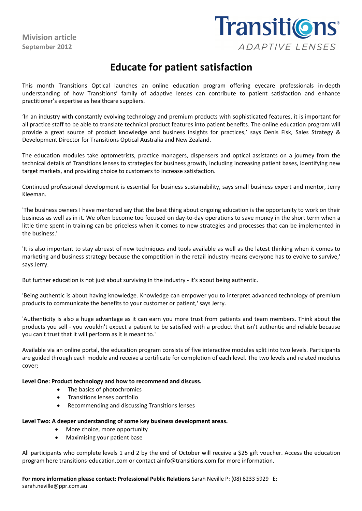**Mivision article September 2012**

## Transiti@ns ADAPTIVE LENSES

## **Educate for patient satisfaction**

This month Transitions Optical launches an online education program offering eyecare professionals in-depth understanding of how Transitions' family of adaptive lenses can contribute to patient satisfaction and enhance practitioner's expertise as healthcare suppliers.

'In an industry with constantly evolving technology and premium products with sophisticated features, it is important for all practice staff to be able to translate technical product features into patient benefits. The online education program will provide a great source of product knowledge and business insights for practices,' says Denis Fisk, Sales Strategy & Development Director for Transitions Optical Australia and New Zealand.

The education modules take optometrists, practice managers, dispensers and optical assistants on a journey from the technical details of Transitions lenses to strategies for business growth, including increasing patient bases, identifying new target markets, and providing choice to customers to increase satisfaction.

Continued professional development is essential for business sustainability, says small business expert and mentor, Jerry Kleeman.

'The business owners I have mentored say that the best thing about ongoing education is the opportunity to work on their business as well as in it. We often become too focused on day-to-day operations to save money in the short term when a little time spent in training can be priceless when it comes to new strategies and processes that can be implemented in the business.'

'It is also important to stay abreast of new techniques and tools available as well as the latest thinking when it comes to marketing and business strategy because the competition in the retail industry means everyone has to evolve to survive,' says Jerry.

But further education is not just about surviving in the industry - it's about being authentic.

'Being authentic is about having knowledge. Knowledge can empower you to interpret advanced technology of premium products to communicate the benefits to your customer or patient,' says Jerry.

'Authenticity is also a huge advantage as it can earn you more trust from patients and team members. Think about the products you sell - you wouldn't expect a patient to be satisfied with a product that isn't authentic and reliable because you can't trust that it will perform as it is meant to.'

Available via an online portal, the education program consists of five interactive modules split into two levels. Participants are guided through each module and receive a certificate for completion of each level. The two levels and related modules cover;

**Level One: Product technology and how to recommend and discuss.**

- The basics of photochromics
- Transitions lenses portfolio
- Recommending and discussing Transitions lenses

## **Level Two: A deeper understanding of some key business development areas.**

- More choice, more opportunity
- Maximising your patient base

All participants who complete levels 1 and 2 by the end of October will receive a \$25 gift voucher. Access the education program here transitions-education.com or contact ainfo@transitions.com for more information.

**For more information please contact: Professional Public Relations** Sarah Neville P: (08) 8233 5929 E: sarah.neville@ppr.com.au